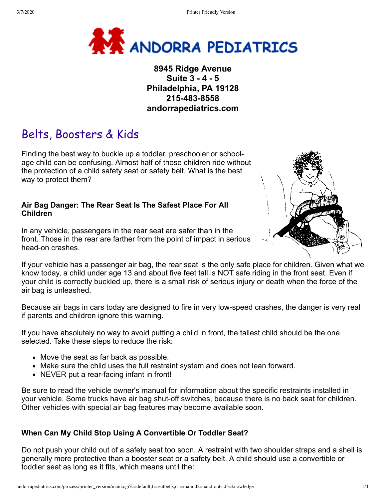

**8945 Ridge Avenue Suite 3 - 4 - 5 Philadelphia, PA 19128 215-483-8558 andorrapediatrics.com**

# Belts, Boosters & Kids

Finding the best way to buckle up a toddler, preschooler or schoolage child can be confusing. Almost half of those children ride without the protection of a child safety seat or safety belt. What is the best way to protect them?

#### **Air Bag Danger: The Rear Seat Is The Safest Place For All Children**

In any vehicle, passengers in the rear seat are safer than in the front. Those in the rear are farther from the point of impact in serious head-on crashes.



If your vehicle has a passenger air bag, the rear seat is the only safe place for children. Given what we know today, a child under age 13 and about five feet tall is NOT safe riding in the front seat. Even if your child is correctly buckled up, there is a small risk of serious injury or death when the force of the air bag is unleashed.

Because air bags in cars today are designed to fire in very low-speed crashes, the danger is very real if parents and children ignore this warning.

If you have absolutely no way to avoid putting a child in front, the tallest child should be the one selected. Take these steps to reduce the risk:

- Move the seat as far back as possible.
- Make sure the child uses the full restraint system and does not lean forward.
- NEVER put a rear-facing infant in front!

Be sure to read the vehicle owner's manual for information about the specific restraints installed in your vehicle. Some trucks have air bag shut-off switches, because there is no back seat for children. Other vehicles with special air bag features may become available soon.

## **When Can My Child Stop Using A Convertible Or Toddler Seat?**

Do not push your child out of a safety seat too soon. A restraint with two shoulder straps and a shell is generally more protective than a booster seat or a safety belt. A child should use a convertible or toddler seat as long as it fits, which means until the: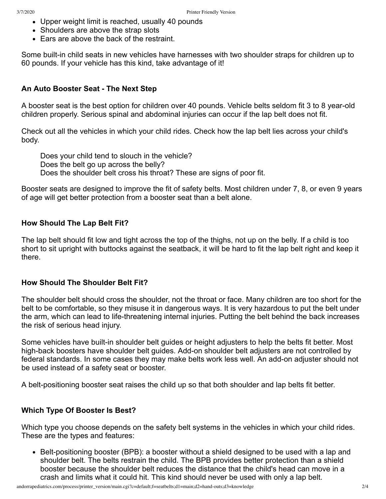- Upper weight limit is reached, usually 40 pounds
- Shoulders are above the strap slots
- Ears are above the back of the restraint.

Some built-in child seats in new vehicles have harnesses with two shoulder straps for children up to 60 pounds. If your vehicle has this kind, take advantage of it!

#### **An Auto Booster Seat - The Next Step**

A booster seat is the best option for children over 40 pounds. Vehicle belts seldom fit 3 to 8 year-old children properly. Serious spinal and abdominal injuries can occur if the lap belt does not fit.

Check out all the vehicles in which your child rides. Check how the lap belt lies across your child's body.

Does your child tend to slouch in the vehicle? Does the belt go up across the belly? Does the shoulder belt cross his throat? These are signs of poor fit.

Booster seats are designed to improve the fit of safety belts. Most children under 7, 8, or even 9 years of age will get better protection from a booster seat than a belt alone.

#### **How Should The Lap Belt Fit?**

The lap belt should fit low and tight across the top of the thighs, not up on the belly. If a child is too short to sit upright with buttocks against the seatback, it will be hard to fit the lap belt right and keep it there.

#### **How Should The Shoulder Belt Fit?**

The shoulder belt should cross the shoulder, not the throat or face. Many children are too short for the belt to be comfortable, so they misuse it in dangerous ways. It is very hazardous to put the belt under the arm, which can lead to life-threatening internal injuries. Putting the belt behind the back increases the risk of serious head injury.

Some vehicles have built-in shoulder belt guides or height adjusters to help the belts fit better. Most high-back boosters have shoulder belt guides. Add-on shoulder belt adjusters are not controlled by federal standards. In some cases they may make belts work less well. An add-on adjuster should not be used instead of a safety seat or booster.

A belt-positioning booster seat raises the child up so that both shoulder and lap belts fit better.

#### **Which Type Of Booster Is Best?**

Which type you choose depends on the safety belt systems in the vehicles in which your child rides. These are the types and features:

• Belt-positioning booster (BPB): a booster without a shield designed to be used with a lap and shoulder belt. The belts restrain the child. The BPB provides better protection than a shield booster because the shoulder belt reduces the distance that the child's head can move in a crash and limits what it could hit. This kind should never be used with only a lap belt.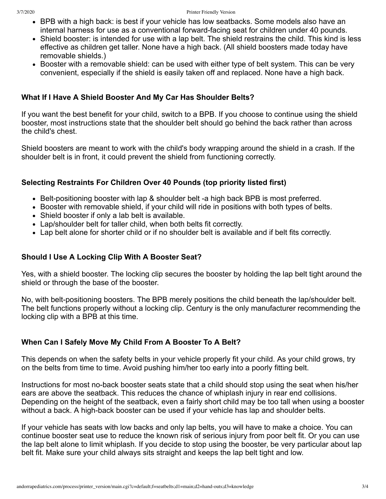- BPB with a high back: is best if your vehicle has low seatbacks. Some models also have an internal harness for use as a conventional forward-facing seat for children under 40 pounds.
- Shield booster: is intended for use with a lap belt. The shield restrains the child. This kind is less effective as children get taller. None have a high back. (All shield boosters made today have removable shields.)
- Booster with a removable shield: can be used with either type of belt system. This can be very convenient, especially if the shield is easily taken off and replaced. None have a high back.

#### **What If I Have A Shield Booster And My Car Has Shoulder Belts?**

If you want the best benefit for your child, switch to a BPB. If you choose to continue using the shield booster, most instructions state that the shoulder belt should go behind the back rather than across the child's chest.

Shield boosters are meant to work with the child's body wrapping around the shield in a crash. If the shoulder belt is in front, it could prevent the shield from functioning correctly.

### **Selecting Restraints For Children Over 40 Pounds (top priority listed first)**

- Belt-positioning booster with lap & shoulder belt -a high back BPB is most preferred.
- Booster with removable shield, if your child will ride in positions with both types of belts.
- Shield booster if only a lab belt is available.
- Lap/shoulder belt for taller child, when both belts fit correctly.
- Lap belt alone for shorter child or if no shoulder belt is available and if belt fits correctly.

## **Should I Use A Locking Clip With A Booster Seat?**

Yes, with a shield booster. The locking clip secures the booster by holding the lap belt tight around the shield or through the base of the booster.

No, with belt-positioning boosters. The BPB merely positions the child beneath the lap/shoulder belt. The belt functions properly without a locking clip. Century is the only manufacturer recommending the locking clip with a BPB at this time.

#### **When Can I Safely Move My Child From A Booster To A Belt?**

This depends on when the safety belts in your vehicle properly fit your child. As your child grows, try on the belts from time to time. Avoid pushing him/her too early into a poorly fitting belt.

Instructions for most no-back booster seats state that a child should stop using the seat when his/her ears are above the seatback. This reduces the chance of whiplash injury in rear end collisions. Depending on the height of the seatback, even a fairly short child may be too tall when using a booster without a back. A high-back booster can be used if your vehicle has lap and shoulder belts.

If your vehicle has seats with low backs and only lap belts, you will have to make a choice. You can continue booster seat use to reduce the known risk of serious injury from poor belt fit. Or you can use the lap belt alone to limit whiplash. If you decide to stop using the booster, be very particular about lap belt fit. Make sure your child always sits straight and keeps the lap belt tight and low.